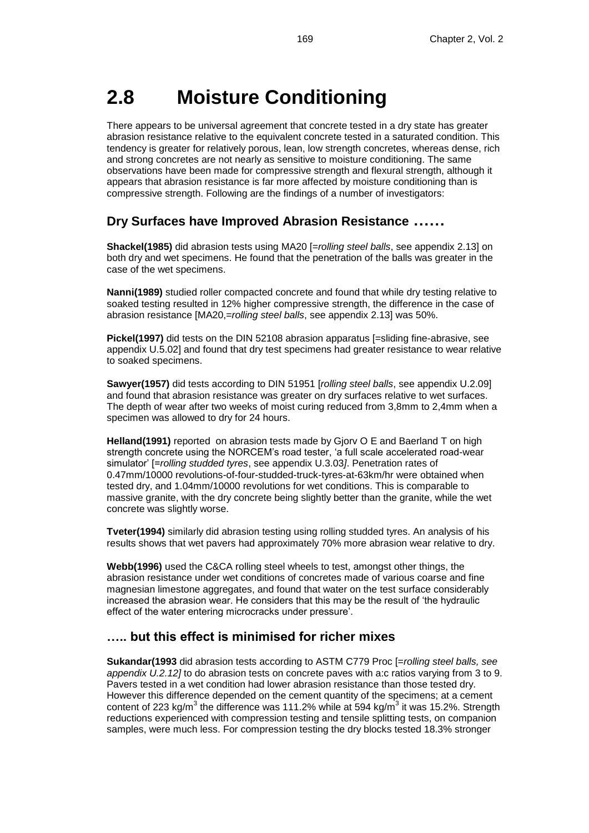## **2.8 Moisture Conditioning**

There appears to be universal agreement that concrete tested in a dry state has greater abrasion resistance relative to the equivalent concrete tested in a saturated condition. This tendency is greater for relatively porous, lean, low strength concretes, whereas dense, rich and strong concretes are not nearly as sensitive to moisture conditioning. The same observations have been made for compressive strength and flexural strength, although it appears that abrasion resistance is far more affected by moisture conditioning than is compressive strength. Following are the findings of a number of investigators:

#### **Dry Surfaces have Improved Abrasion Resistance ……**

**Shackel(1985)** did abrasion tests using MA20 [=*rolling steel balls*, see appendix 2.13] on both dry and wet specimens. He found that the penetration of the balls was greater in the case of the wet specimens.

**Nanni(1989)** studied roller compacted concrete and found that while dry testing relative to soaked testing resulted in 12% higher compressive strength, the difference in the case of abrasion resistance [MA20,=*rolling steel balls*, see appendix 2.13] was 50%.

**Pickel(1997)** did tests on the DIN 52108 abrasion apparatus [=sliding fine-abrasive, see appendix U.5.02] and found that dry test specimens had greater resistance to wear relative to soaked specimens.

**Sawyer(1957)** did tests according to DIN 51951 [*rolling steel balls*, see appendix U.2.09] and found that abrasion resistance was greater on dry surfaces relative to wet surfaces. The depth of wear after two weeks of moist curing reduced from 3,8mm to 2,4mm when a specimen was allowed to dry for 24 hours.

**Helland(1991)** reported on abrasion tests made by Gjorv O E and Baerland T on high strength concrete using the NORCEM's road tester, 'a full scale accelerated road-wear simulator' [=*rolling studded tyres*, see appendix U.3.03*]*. Penetration rates of 0.47mm/10000 revolutions-of-four-studded-truck-tyres-at-63km/hr were obtained when tested dry, and 1.04mm/10000 revolutions for wet conditions. This is comparable to massive granite, with the dry concrete being slightly better than the granite, while the wet concrete was slightly worse.

**Tveter(1994)** similarly did abrasion testing using rolling studded tyres. An analysis of his results shows that wet pavers had approximately 70% more abrasion wear relative to dry.

**Webb(1996)** used the C&CA rolling steel wheels to test, amongst other things, the abrasion resistance under wet conditions of concretes made of various coarse and fine magnesian limestone aggregates, and found that water on the test surface considerably increased the abrasion wear. He considers that this may be the result of 'the hydraulic effect of the water entering microcracks under pressure'.

#### **….. but this effect is minimised for richer mixes**

**Sukandar(1993** did abrasion tests according to ASTM C779 Proc [=*rolling steel balls, see appendix U.2.12]* to do abrasion tests on concrete paves with a:c ratios varying from 3 to 9. Pavers tested in a wet condition had lower abrasion resistance than those tested dry. However this difference depended on the cement quantity of the specimens; at a cement content of 223 kg/m<sup>3</sup> the difference was 111.2% while at 594 kg/m<sup>3</sup> it was 15.2%. Strength reductions experienced with compression testing and tensile splitting tests, on companion samples, were much less. For compression testing the dry blocks tested 18.3% stronger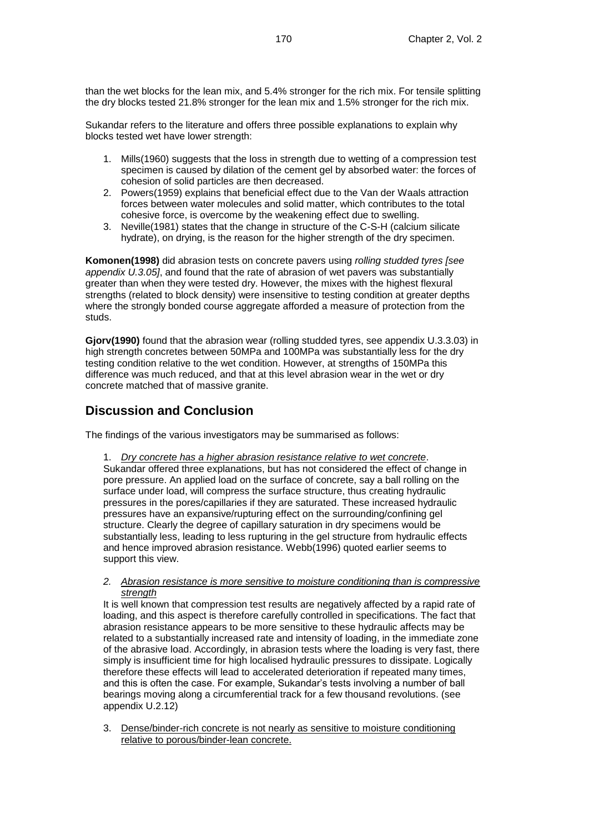than the wet blocks for the lean mix, and 5.4% stronger for the rich mix. For tensile splitting the dry blocks tested 21.8% stronger for the lean mix and 1.5% stronger for the rich mix.

Sukandar refers to the literature and offers three possible explanations to explain why blocks tested wet have lower strength:

- 1. Mills(1960) suggests that the loss in strength due to wetting of a compression test specimen is caused by dilation of the cement gel by absorbed water: the forces of cohesion of solid particles are then decreased.
- 2. Powers(1959) explains that beneficial effect due to the Van der Waals attraction forces between water molecules and solid matter, which contributes to the total cohesive force, is overcome by the weakening effect due to swelling.
- 3. Neville(1981) states that the change in structure of the C-S-H (calcium silicate hydrate), on drying, is the reason for the higher strength of the dry specimen.

**Komonen(1998)** did abrasion tests on concrete pavers using *rolling studded tyres [see appendix U.3.05]*, and found that the rate of abrasion of wet pavers was substantially greater than when they were tested dry. However, the mixes with the highest flexural strengths (related to block density) were insensitive to testing condition at greater depths where the strongly bonded course aggregate afforded a measure of protection from the studs.

**Gjorv(1990)** found that the abrasion wear (rolling studded tyres, see appendix U.3.3.03) in high strength concretes between 50MPa and 100MPa was substantially less for the dry testing condition relative to the wet condition. However, at strengths of 150MPa this difference was much reduced, and that at this level abrasion wear in the wet or dry concrete matched that of massive granite.

#### **Discussion and Conclusion**

The findings of the various investigators may be summarised as follows:

1. *Dry concrete has a higher abrasion resistance relative to wet concrete*.

Sukandar offered three explanations, but has not considered the effect of change in pore pressure. An applied load on the surface of concrete, say a ball rolling on the surface under load, will compress the surface structure, thus creating hydraulic pressures in the pores/capillaries if they are saturated. These increased hydraulic pressures have an expansive/rupturing effect on the surrounding/confining gel structure. Clearly the degree of capillary saturation in dry specimens would be substantially less, leading to less rupturing in the gel structure from hydraulic effects and hence improved abrasion resistance. Webb(1996) quoted earlier seems to support this view.

*2. Abrasion resistance is more sensitive to moisture conditioning than is compressive strength*

It is well known that compression test results are negatively affected by a rapid rate of loading, and this aspect is therefore carefully controlled in specifications. The fact that abrasion resistance appears to be more sensitive to these hydraulic affects may be related to a substantially increased rate and intensity of loading, in the immediate zone of the abrasive load. Accordingly, in abrasion tests where the loading is very fast, there simply is insufficient time for high localised hydraulic pressures to dissipate. Logically therefore these effects will lead to accelerated deterioration if repeated many times, and this is often the case. For example, Sukandar's tests involving a number of ball bearings moving along a circumferential track for a few thousand revolutions. (see appendix U.2.12)

3. Dense/binder-rich concrete is not nearly as sensitive to moisture conditioning relative to porous/binder-lean concrete.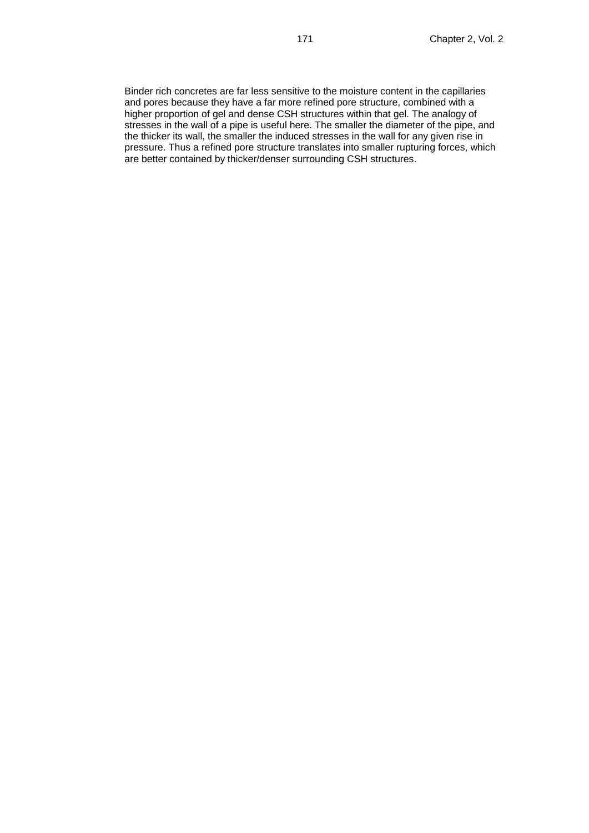Binder rich concretes are far less sensitive to the moisture content in the capillaries and pores because they have a far more refined pore structure, combined with a higher proportion of gel and dense CSH structures within that gel. The analogy of stresses in the wall of a pipe is useful here. The smaller the diameter of the pipe, and the thicker its wall, the smaller the induced stresses in the wall for any given rise in pressure. Thus a refined pore structure translates into smaller rupturing forces, which are better contained by thicker/denser surrounding CSH structures.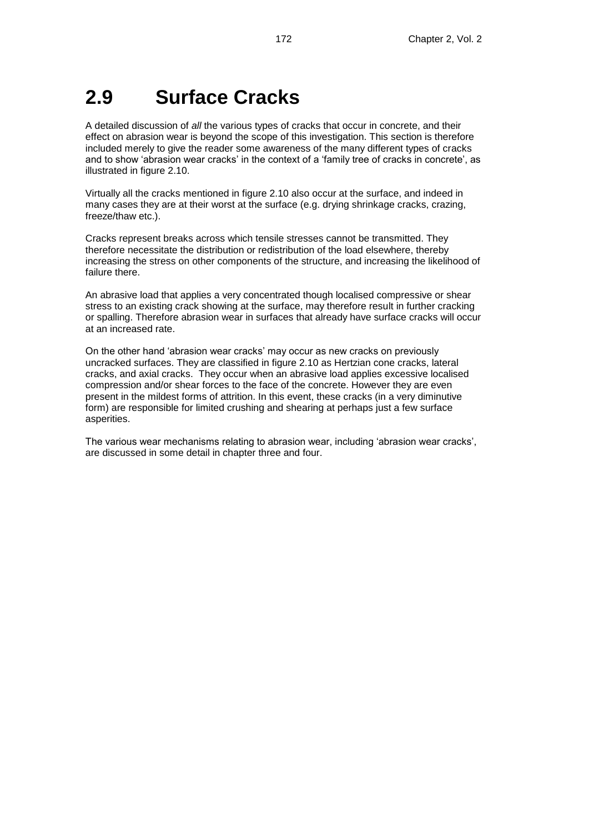## **2.9 Surface Cracks**

A detailed discussion of *all* the various types of cracks that occur in concrete, and their effect on abrasion wear is beyond the scope of this investigation. This section is therefore included merely to give the reader some awareness of the many different types of cracks and to show 'abrasion wear cracks' in the context of a 'family tree of cracks in concrete', as illustrated in figure 2.10.

Virtually all the cracks mentioned in figure 2.10 also occur at the surface, and indeed in many cases they are at their worst at the surface (e.g. drying shrinkage cracks, crazing, freeze/thaw etc.).

Cracks represent breaks across which tensile stresses cannot be transmitted. They therefore necessitate the distribution or redistribution of the load elsewhere, thereby increasing the stress on other components of the structure, and increasing the likelihood of failure there.

An abrasive load that applies a very concentrated though localised compressive or shear stress to an existing crack showing at the surface, may therefore result in further cracking or spalling. Therefore abrasion wear in surfaces that already have surface cracks will occur at an increased rate.

On the other hand 'abrasion wear cracks' may occur as new cracks on previously uncracked surfaces. They are classified in figure 2.10 as Hertzian cone cracks, lateral cracks, and axial cracks. They occur when an abrasive load applies excessive localised compression and/or shear forces to the face of the concrete. However they are even present in the mildest forms of attrition. In this event, these cracks (in a very diminutive form) are responsible for limited crushing and shearing at perhaps just a few surface asperities.

The various wear mechanisms relating to abrasion wear, including 'abrasion wear cracks', are discussed in some detail in chapter three and four.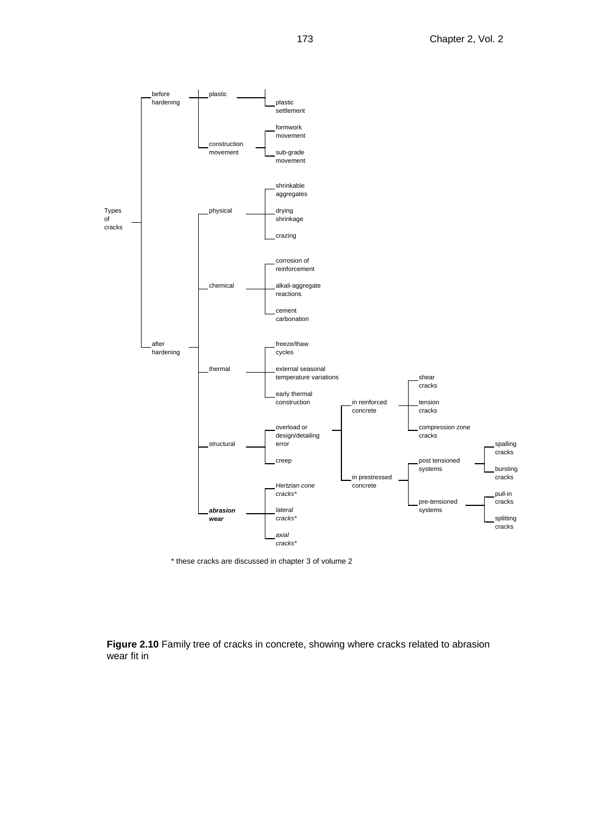

\* these cracks are discussed in chapter 3 of volume 2

**Figure 2.10** Family tree of cracks in concrete, showing where cracks related to abrasion wear fit in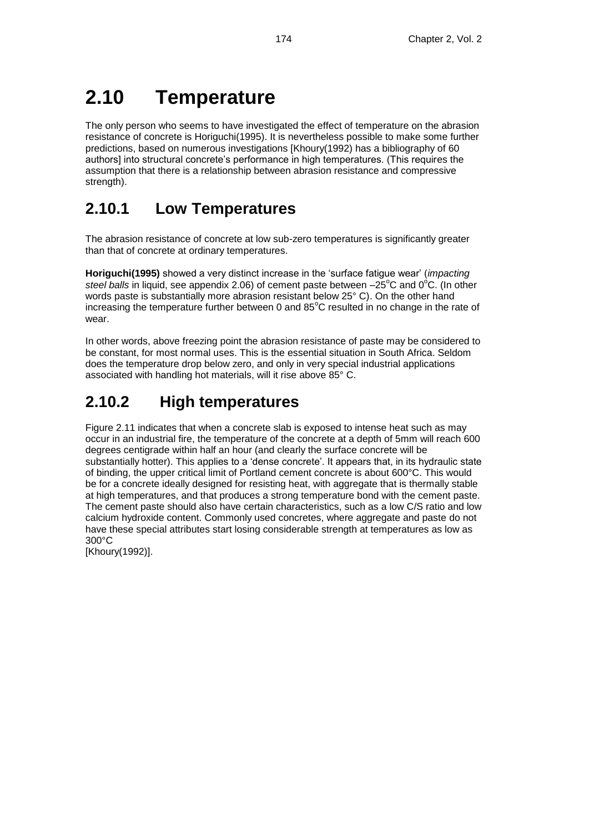# **2.10 Temperature**

The only person who seems to have investigated the effect of temperature on the abrasion resistance of concrete is Horiguchi(1995). It is nevertheless possible to make some further predictions, based on numerous investigations [Khoury(1992) has a bibliography of 60 authors] into structural concrete's performance in high temperatures. (This requires the assumption that there is a relationship between abrasion resistance and compressive strength).

### **2.10.1 Low Temperatures**

The abrasion resistance of concrete at low sub-zero temperatures is significantly greater than that of concrete at ordinary temperatures.

**Horiguchi(1995)** showed a very distinct increase in the 'surface fatigue wear' (*impacting steel balls* in liquid, see appendix 2.06) of cement paste between -25<sup>o</sup>C and 0<sup>o</sup>C. (In other words paste is substantially more abrasion resistant below 25° C). On the other hand increasing the temperature further between 0 and  $85^{\circ}$ C resulted in no change in the rate of wear.

In other words, above freezing point the abrasion resistance of paste may be considered to be constant, for most normal uses. This is the essential situation in South Africa. Seldom does the temperature drop below zero, and only in very special industrial applications associated with handling hot materials, will it rise above 85° C.

### **2.10.2 High temperatures**

Figure 2.11 indicates that when a concrete slab is exposed to intense heat such as may occur in an industrial fire, the temperature of the concrete at a depth of 5mm will reach 600 degrees centigrade within half an hour (and clearly the surface concrete will be substantially hotter). This applies to a 'dense concrete'. It appears that, in its hydraulic state of binding, the upper critical limit of Portland cement concrete is about 600°C. This would be for a concrete ideally designed for resisting heat, with aggregate that is thermally stable at high temperatures, and that produces a strong temperature bond with the cement paste. The cement paste should also have certain characteristics, such as a low C/S ratio and low calcium hydroxide content. Commonly used concretes, where aggregate and paste do not have these special attributes start losing considerable strength at temperatures as low as 300°C

[Khoury(1992)].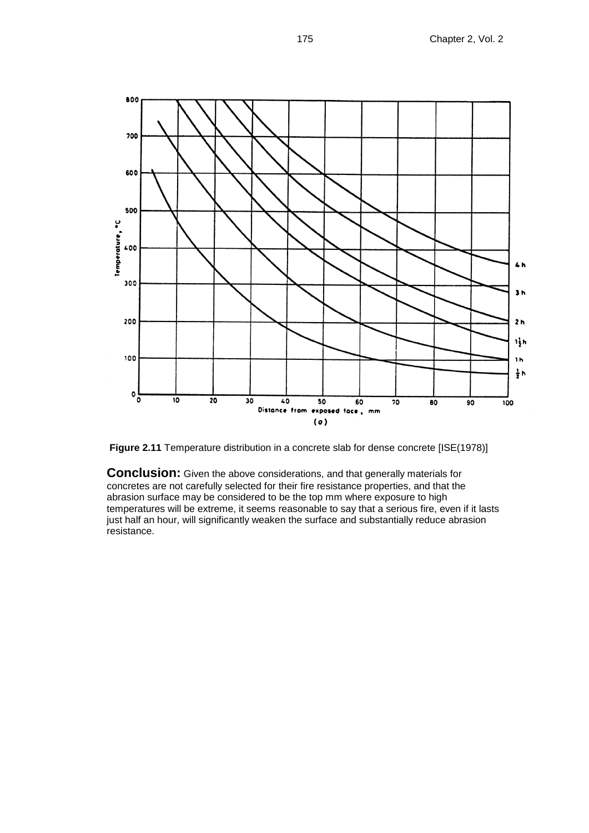

**Figure 2.11** Temperature distribution in a concrete slab for dense concrete [ISE(1978)]

**Conclusion:** Given the above considerations, and that generally materials for concretes are not carefully selected for their fire resistance properties, and that the abrasion surface may be considered to be the top mm where exposure to high temperatures will be extreme, it seems reasonable to say that a serious fire, even if it lasts just half an hour, will significantly weaken the surface and substantially reduce abrasion resistance.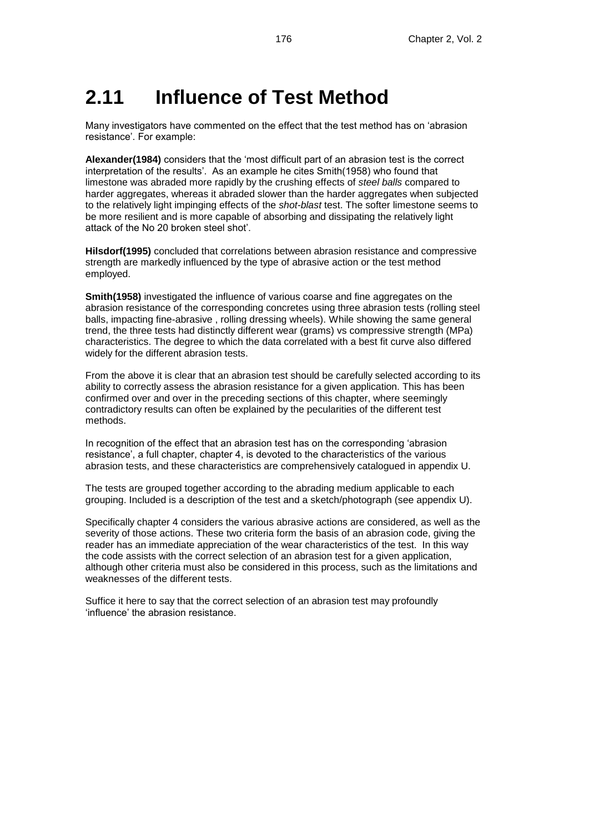## **2.11 Influence of Test Method**

Many investigators have commented on the effect that the test method has on 'abrasion resistance'. For example:

**Alexander(1984)** considers that the 'most difficult part of an abrasion test is the correct interpretation of the results'. As an example he cites Smith(1958) who found that limestone was abraded more rapidly by the crushing effects of *steel balls* compared to harder aggregates, whereas it abraded slower than the harder aggregates when subjected to the relatively light impinging effects of the *shot-blast* test. The softer limestone seems to be more resilient and is more capable of absorbing and dissipating the relatively light attack of the No 20 broken steel shot'.

**Hilsdorf(1995)** concluded that correlations between abrasion resistance and compressive strength are markedly influenced by the type of abrasive action or the test method employed.

**Smith(1958)** investigated the influence of various coarse and fine aggregates on the abrasion resistance of the corresponding concretes using three abrasion tests (rolling steel balls, impacting fine-abrasive , rolling dressing wheels). While showing the same general trend, the three tests had distinctly different wear (grams) vs compressive strength (MPa) characteristics. The degree to which the data correlated with a best fit curve also differed widely for the different abrasion tests.

From the above it is clear that an abrasion test should be carefully selected according to its ability to correctly assess the abrasion resistance for a given application. This has been confirmed over and over in the preceding sections of this chapter, where seemingly contradictory results can often be explained by the pecularities of the different test methods.

In recognition of the effect that an abrasion test has on the corresponding 'abrasion resistance', a full chapter, chapter 4, is devoted to the characteristics of the various abrasion tests, and these characteristics are comprehensively catalogued in appendix U.

The tests are grouped together according to the abrading medium applicable to each grouping. Included is a description of the test and a sketch/photograph (see appendix U).

Specifically chapter 4 considers the various abrasive actions are considered, as well as the severity of those actions. These two criteria form the basis of an abrasion code, giving the reader has an immediate appreciation of the wear characteristics of the test. In this way the code assists with the correct selection of an abrasion test for a given application, although other criteria must also be considered in this process, such as the limitations and weaknesses of the different tests.

Suffice it here to say that the correct selection of an abrasion test may profoundly 'influence' the abrasion resistance.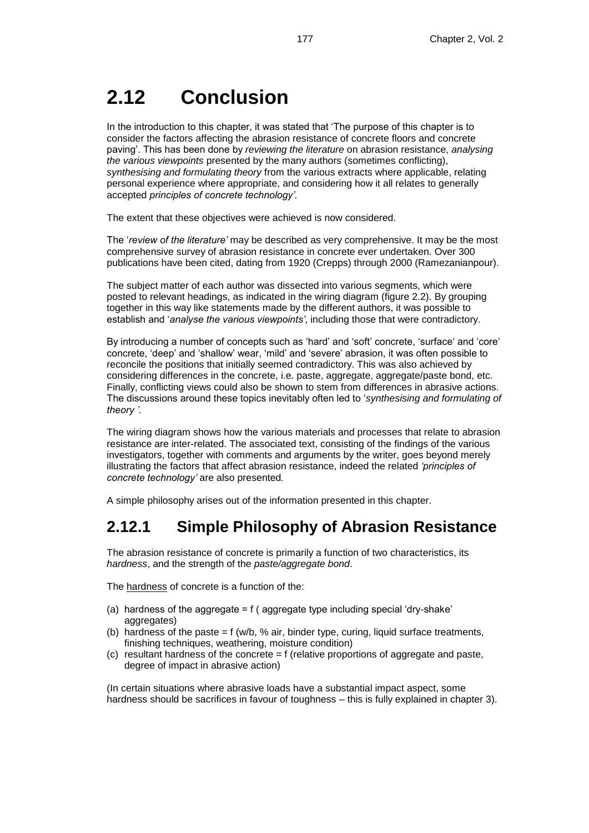## **2.12 Conclusion**

In the introduction to this chapter, it was stated that 'The purpose of this chapter is to consider the factors affecting the abrasion resistance of concrete floors and concrete paving'. This has been done by *reviewing the literature* on abrasion resistance, *analysing the various viewpoints* presented by the many authors (sometimes conflicting), *synthesising and formulating theory* from the various extracts where applicable, relating personal experience where appropriate, and considering how it all relates to generally accepted *principles of concrete technology'.*

The extent that these objectives were achieved is now considered.

The '*review of the literature'* may be described as very comprehensive. It may be the most comprehensive survey of abrasion resistance in concrete ever undertaken. Over 300 publications have been cited, dating from 1920 (Crepps) through 2000 (Ramezanianpour).

The subject matter of each author was dissected into various segments, which were posted to relevant headings, as indicated in the wiring diagram (figure 2.2). By grouping together in this way like statements made by the different authors, it was possible to establish and '*analyse the various viewpoints'*, including those that were contradictory.

By introducing a number of concepts such as 'hard' and 'soft' concrete, 'surface' and 'core' concrete, 'deep' and 'shallow' wear, 'mild' and 'severe' abrasion, it was often possible to reconcile the positions that initially seemed contradictory. This was also achieved by considering differences in the concrete, i.e. paste, aggregate, aggregate/paste bond, etc. Finally, conflicting views could also be shown to stem from differences in abrasive actions. The discussions around these topics inevitably often led to '*synthesising and formulating of theory '.* 

The wiring diagram shows how the various materials and processes that relate to abrasion resistance are inter-related. The associated text, consisting of the findings of the various investigators, together with comments and arguments by the writer, goes beyond merely illustrating the factors that affect abrasion resistance, indeed the related *'principles of concrete technology'* are also presented*.*

A simple philosophy arises out of the information presented in this chapter.

### **2.12.1 Simple Philosophy of Abrasion Resistance**

The abrasion resistance of concrete is primarily a function of two characteristics, its *hardness*, and the strength of the *paste/aggregate bond*.

The hardness of concrete is a function of the:

- (a) hardness of the aggregate = f ( aggregate type including special 'dry-shake' aggregates)
- (b) hardness of the paste = f (w/b, % air, binder type, curing, liquid surface treatments, finishing techniques, weathering, moisture condition)
- (c) resultant hardness of the concrete = f (relative proportions of aggregate and paste, degree of impact in abrasive action)

(In certain situations where abrasive loads have a substantial impact aspect, some hardness should be sacrifices in favour of toughness – this is fully explained in chapter 3).